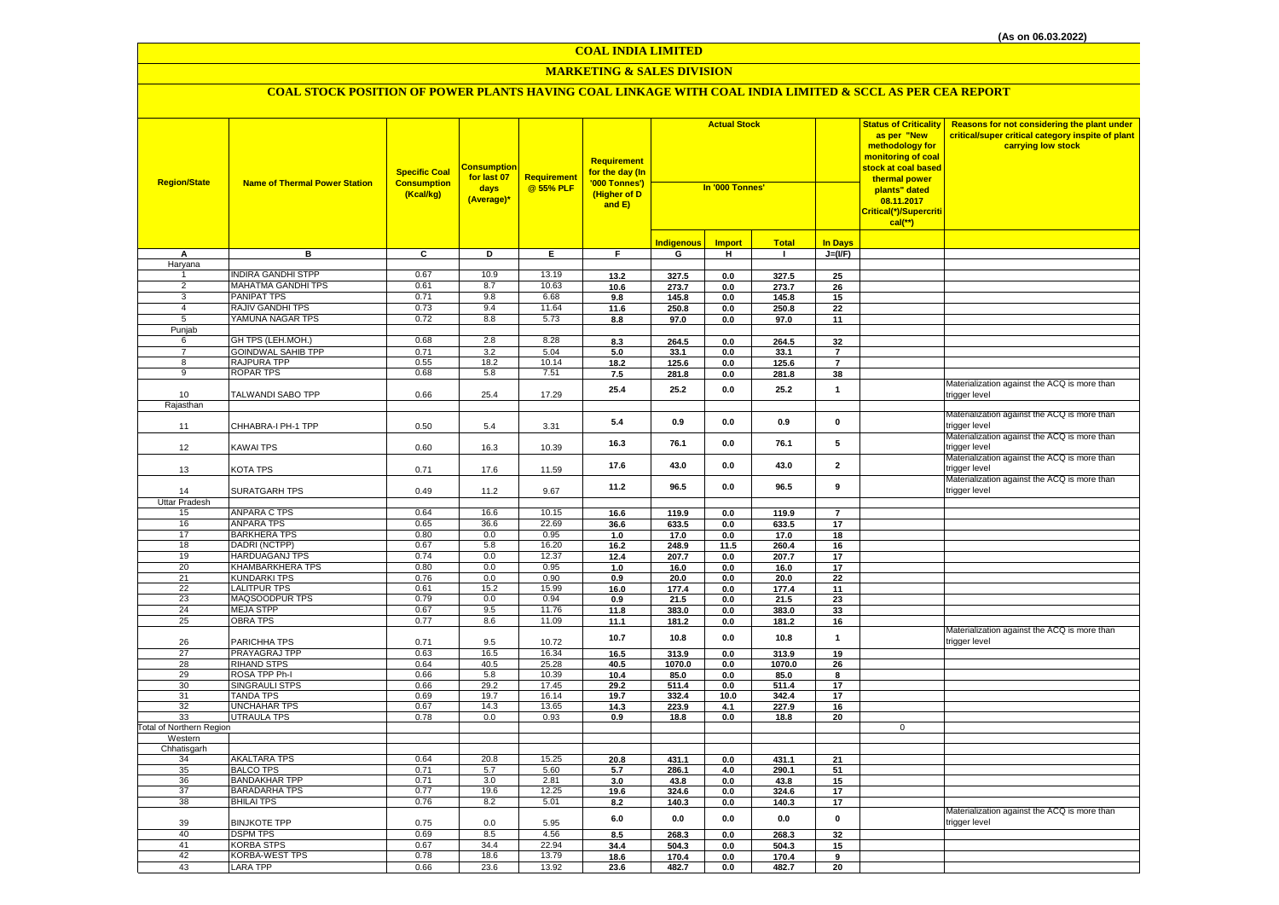#### **MARKETING & SALES DIVISION**

| <b>Region/State</b>             | <b>Name of Thermal Power Station</b>      | <b>Specific Coal</b><br><b>Consumption</b><br>(Kcal/kg) | Consumption<br>for last 07<br>days<br>(Average)* | <b>Requirement</b><br>@ 55% PLF | <b>Requirement</b><br>for the day (In<br>'000 Tonnes')<br>(Higher of D<br>and E) | <b>Actual Stock</b><br>In '000 Tonnes' |                |                |                | <b>Status of Criticality</b><br>as per "New<br>methodology for<br>monitoring of coal<br>stock at coal based<br>thermal power<br>plants" dated<br>08.11.2017<br>Critical(*)/Supercriti<br>$cal(**)$ | Reasons for not considering the plant under<br>critical/super critical category inspite of plant<br>carrying low stock |
|---------------------------------|-------------------------------------------|---------------------------------------------------------|--------------------------------------------------|---------------------------------|----------------------------------------------------------------------------------|----------------------------------------|----------------|----------------|----------------|----------------------------------------------------------------------------------------------------------------------------------------------------------------------------------------------------|------------------------------------------------------------------------------------------------------------------------|
|                                 |                                           |                                                         |                                                  |                                 |                                                                                  | ndigenous                              | <b>Import</b>  | <b>Total</b>   | <b>In Days</b> |                                                                                                                                                                                                    |                                                                                                                        |
| A                               | в                                         | $\overline{c}$                                          | Þ                                                | Ε.                              | F.                                                                               | G                                      | H              | $\mathbf{L}$   | $J=(VF)$       |                                                                                                                                                                                                    |                                                                                                                        |
| Haryana                         |                                           |                                                         |                                                  |                                 |                                                                                  |                                        |                |                |                |                                                                                                                                                                                                    |                                                                                                                        |
|                                 | <b>INDIRA GANDHI STPP</b>                 | 0.67                                                    | 10.9                                             | 13.19                           | 13.2                                                                             | 327.5                                  | 0.0            | 327.5          | 25             |                                                                                                                                                                                                    |                                                                                                                        |
| $\overline{2}$                  | MAHATMA GANDHI TPS                        | 0.61                                                    | 8.7                                              | 10.63                           | 10.6                                                                             | 273.7                                  | 0.0            | 273.7          | 26             |                                                                                                                                                                                                    |                                                                                                                        |
| 3                               | PANIPAT TPS                               | 0.71                                                    | 9.8                                              | 6.68                            | 9.8                                                                              | 145.8                                  | 0.0            | 145.8          | 15             |                                                                                                                                                                                                    |                                                                                                                        |
| $\overline{4}$                  | <b>RAJIV GANDHI TPS</b>                   | 0.73                                                    | 9.4                                              | 11.64                           | 11.6                                                                             | 250.8                                  | 0.0            | 250.8          | 22             |                                                                                                                                                                                                    |                                                                                                                        |
| $5\overline{)}$                 | YAMUNA NAGAR TPS                          | 0.72                                                    | 8.8                                              | 5.73                            | 8.8                                                                              | 97.0                                   | $\mathbf{0.0}$ | 97.0           | 11             |                                                                                                                                                                                                    |                                                                                                                        |
| Punjab                          |                                           |                                                         |                                                  |                                 |                                                                                  |                                        |                |                |                |                                                                                                                                                                                                    |                                                                                                                        |
| 6                               | GH TPS (LEH.MOH.)                         | 0.68                                                    | 2.8                                              | 8.28                            | 8.3                                                                              | 264.5                                  | 0.0            | 264.5          | 32             |                                                                                                                                                                                                    |                                                                                                                        |
| $\overline{7}$                  | <b>GOINDWAL SAHIB TPP</b>                 | 0.71                                                    | 3.2                                              | 5.04<br>10.14                   | 5.0                                                                              | 33.1                                   | 0.0            | 33.1           | $\overline{7}$ |                                                                                                                                                                                                    |                                                                                                                        |
| 8                               | <b>RAJPURA TPP</b><br><b>ROPAR TPS</b>    | 0.55<br>0.68                                            | 18.2<br>5.8                                      | 7.51                            | 18.2                                                                             | 125.6                                  | 0.0            | 125.6          | $\overline{7}$ |                                                                                                                                                                                                    |                                                                                                                        |
| 9                               |                                           |                                                         |                                                  |                                 | 7.5                                                                              | 281.8                                  | 0.0            | 281.8          | 38             |                                                                                                                                                                                                    |                                                                                                                        |
| 10                              | TALWANDI SABO TPP                         | 0.66                                                    | 25.4                                             | 17.29                           | 25.4                                                                             | 25.2                                   | 0.0            | 25.2           | $\mathbf{1}$   |                                                                                                                                                                                                    | Materialization against the ACQ is more than<br>rigger level                                                           |
| Rajasthan                       |                                           |                                                         |                                                  |                                 |                                                                                  |                                        |                |                |                |                                                                                                                                                                                                    |                                                                                                                        |
|                                 |                                           |                                                         |                                                  |                                 |                                                                                  |                                        |                |                |                |                                                                                                                                                                                                    | Materialization against the ACQ is more than                                                                           |
| 11                              | CHHABRA-I PH-1 TPP                        | 0.50                                                    | 5.4                                              | 3.31                            | 5.4                                                                              | 0.9                                    | 0.0            | 0.9            | $\mathbf{0}$   |                                                                                                                                                                                                    | rigger level                                                                                                           |
|                                 |                                           |                                                         |                                                  |                                 |                                                                                  |                                        |                |                |                |                                                                                                                                                                                                    | Materialization against the ACQ is more than                                                                           |
| 12                              | <b>KAWAI TPS</b>                          | 0.60                                                    | 16.3                                             | 10.39                           | 16.3                                                                             | 76.1                                   | 0.0            | 76.1           | 5              |                                                                                                                                                                                                    | rigger level                                                                                                           |
|                                 |                                           |                                                         |                                                  |                                 |                                                                                  |                                        |                |                | $\overline{2}$ |                                                                                                                                                                                                    | Materialization against the ACQ is more than                                                                           |
| 13                              | KOTA TPS                                  | 0.71                                                    | 17.6                                             | 11.59                           | 17.6                                                                             | 43.0                                   | 0.0            | 43.0           |                |                                                                                                                                                                                                    | rigger level                                                                                                           |
|                                 |                                           |                                                         |                                                  |                                 | 11.2                                                                             | 96.5                                   | $\mathbf{0.0}$ | 96.5           | 9              |                                                                                                                                                                                                    | Materialization against the ACQ is more than                                                                           |
| 14                              | SURATGARH TPS                             | 0.49                                                    | 11.2                                             | 9.67                            |                                                                                  |                                        |                |                |                |                                                                                                                                                                                                    | rigger level                                                                                                           |
| <b>Uttar Pradesh</b>            |                                           |                                                         |                                                  |                                 |                                                                                  |                                        |                |                |                |                                                                                                                                                                                                    |                                                                                                                        |
| 15                              | <b>ANPARA C TPS</b>                       | 0.64                                                    | 16.6                                             | 10.15                           | 16.6                                                                             | 119.9                                  | 0.0            | 119.9          | $\overline{7}$ |                                                                                                                                                                                                    |                                                                                                                        |
| 16                              | <b>ANPARA TPS</b>                         | 0.65                                                    | 36.6                                             | 22.69                           | 36.6                                                                             | 633.5                                  | 0.0            | 633.5          | 17             |                                                                                                                                                                                                    |                                                                                                                        |
| 17                              | <b>BARKHERA TPS</b><br>DADRI (NCTPP)      | 0.80<br>0.67                                            | 0.0                                              | 0.95<br>16.20                   | 1.0                                                                              | 17.0                                   | 0.0            | 17.0           | 18             |                                                                                                                                                                                                    |                                                                                                                        |
| 18<br>19                        | <b>HARDUAGANJ TPS</b>                     | 0.74                                                    | 5.8<br>0.0                                       | 12.37                           | 16.2                                                                             | 248.9                                  | 11.5           | 260.4          | 16<br>17       |                                                                                                                                                                                                    |                                                                                                                        |
| 20                              | <b>KHAMBARKHERA TPS</b>                   | 0.80                                                    | 0.0                                              | 0.95                            | 12.4<br>1.0                                                                      | 207.7<br>16.0                          | 0.0<br>0.0     | 207.7<br>16.0  | 17             |                                                                                                                                                                                                    |                                                                                                                        |
| 21                              | <b>KUNDARKI TPS</b>                       | 0.76                                                    | 0.0                                              | 0.90                            | 0.9                                                                              | 20.0                                   | $\mathbf{0.0}$ | 20.0           | 22             |                                                                                                                                                                                                    |                                                                                                                        |
| 22                              | <b>LALITPUR TPS</b>                       | 0.61                                                    | 15.2                                             | 15.99                           | 16.0                                                                             | 177.4                                  | 0.0            | 177.4          | 11             |                                                                                                                                                                                                    |                                                                                                                        |
| 23                              | MAQSOODPUR TPS                            | 0.79                                                    | 0.0                                              | 0.94                            | 0.9                                                                              | 21.5                                   | 0.0            | 21.5           | 23             |                                                                                                                                                                                                    |                                                                                                                        |
| 24                              | <b>MEJA STPP</b>                          | 0.67                                                    | 9.5                                              | 11.76                           | 11.8                                                                             | 383.0                                  | 0.0            | 383.0          | 33             |                                                                                                                                                                                                    |                                                                                                                        |
| 25                              | <b>OBRA TPS</b>                           | 0.77                                                    | 8.6                                              | 11.09                           | 11.1                                                                             | 181.2                                  | 0.0            | 181.2          | 16             |                                                                                                                                                                                                    |                                                                                                                        |
|                                 |                                           |                                                         |                                                  |                                 | 10.7                                                                             | 10.8                                   | 0.0            | 10.8           | $\mathbf{1}$   |                                                                                                                                                                                                    | Materialization against the ACQ is more than                                                                           |
| 26                              | PARICHHA TPS                              | 0.71                                                    | 9.5                                              | 10.72                           |                                                                                  |                                        |                |                |                |                                                                                                                                                                                                    | trigger level                                                                                                          |
| 27                              | PRAYAGRAJ TPP                             | 0.63                                                    | 16.5                                             | 16.34                           | 16.5                                                                             | 313.9                                  | 0.0            | 313.9          | 19             |                                                                                                                                                                                                    |                                                                                                                        |
| 28                              | <b>RIHAND STPS</b>                        | 0.64                                                    | 40.5                                             | 25.28                           | 40.5                                                                             | 1070.0                                 | 0.0            | 1070.0         | 26             |                                                                                                                                                                                                    |                                                                                                                        |
| 29                              | ROSA TPP Ph-I                             | 0.66                                                    | 5.8                                              | 10.39                           | 10.4                                                                             | 85.0                                   | 0.0            | 85.0           | 8              |                                                                                                                                                                                                    |                                                                                                                        |
| 30<br>31                        | <b>SINGRAULI STPS</b><br><b>TANDA TPS</b> | 0.66<br>0.69                                            | 29.2<br>19.7                                     | 17.45<br>16.14                  | 29.2                                                                             | 511.4                                  | 0.0            | 511.4          | 17             |                                                                                                                                                                                                    |                                                                                                                        |
| 32                              | <b>UNCHAHAR TPS</b>                       | 0.67                                                    | 14.3                                             | 13.65                           | 19.7<br>14.3                                                                     | 332.4<br>223.9                         | 10.0<br>4.1    | 342.4<br>227.9 | 17<br>16       |                                                                                                                                                                                                    |                                                                                                                        |
| 33                              | <b>UTRAULA TPS</b>                        | 0.78                                                    | 0.0                                              | 0.93                            | 0.9                                                                              | 18.8                                   | 0.0            | 18.8           | 20             |                                                                                                                                                                                                    |                                                                                                                        |
| <b>Total of Northern Region</b> |                                           |                                                         |                                                  |                                 |                                                                                  |                                        |                |                |                | $\overline{0}$                                                                                                                                                                                     |                                                                                                                        |
| Western                         |                                           |                                                         |                                                  |                                 |                                                                                  |                                        |                |                |                |                                                                                                                                                                                                    |                                                                                                                        |
| Chhatisgarh                     |                                           |                                                         |                                                  |                                 |                                                                                  |                                        |                |                |                |                                                                                                                                                                                                    |                                                                                                                        |
| 34                              | <b>AKALTARA TPS</b>                       | 0.64                                                    | 20.8                                             | 15.25                           | 20.8                                                                             | 431.1                                  | 0.0            | 431.1          | 21             |                                                                                                                                                                                                    |                                                                                                                        |
| 35                              | <b>BALCO TPS</b>                          | 0.71                                                    | 5.7                                              | 5.60                            | 5.7                                                                              | 286.1                                  | 4.0            | 290.1          | 51             |                                                                                                                                                                                                    |                                                                                                                        |
| 36                              | <b>BANDAKHAR TPP</b>                      | 0.71                                                    | 3.0                                              | 2.81                            | 3.0                                                                              | 43.8                                   | 0.0            | 43.8           | 15             |                                                                                                                                                                                                    |                                                                                                                        |
| 37                              | <b>BARADARHA TPS</b>                      | 0.77                                                    | 19.6                                             | 12.25                           | 19.6                                                                             | 324.6                                  | 0.0            | 324.6          | 17             |                                                                                                                                                                                                    |                                                                                                                        |
| 38                              | <b>BHILAI TPS</b>                         | 0.76                                                    | 8.2                                              | 5.01                            | 8.2                                                                              | 140.3                                  | 0.0            | 140.3          | 17             |                                                                                                                                                                                                    | Materialization against the ACQ is more than                                                                           |
| 39                              | <b>BINJKOTE TPP</b>                       | 0.75                                                    | 0.0                                              | 5.95                            | 6.0                                                                              | 0.0                                    | 0.0            | 0.0            | $\pmb{0}$      |                                                                                                                                                                                                    | trigger level                                                                                                          |
| 40                              | <b>DSPM TPS</b>                           | 0.69                                                    | 8.5                                              | 4.56                            | 8.5                                                                              | 268.3                                  | 0.0            | 268.3          | 32             |                                                                                                                                                                                                    |                                                                                                                        |
| 41                              | <b>KORBA STPS</b>                         | 0.67                                                    | 34.4                                             | 22.94                           | 34.4                                                                             | 504.3                                  | 0.0            | 504.3          | 15             |                                                                                                                                                                                                    |                                                                                                                        |
| 42                              | <b>KORBA-WEST TPS</b>                     | 0.78                                                    | 18.6                                             | 13.79                           | 18.6                                                                             | 170.4                                  | 0.0            | 170.4          | 9              |                                                                                                                                                                                                    |                                                                                                                        |
| 43                              | <b>LARA TPP</b>                           | 0.66                                                    | 23.6                                             | 13.92                           | 23.6                                                                             | 482.7                                  | 0.0            | 482.7          | 20             |                                                                                                                                                                                                    |                                                                                                                        |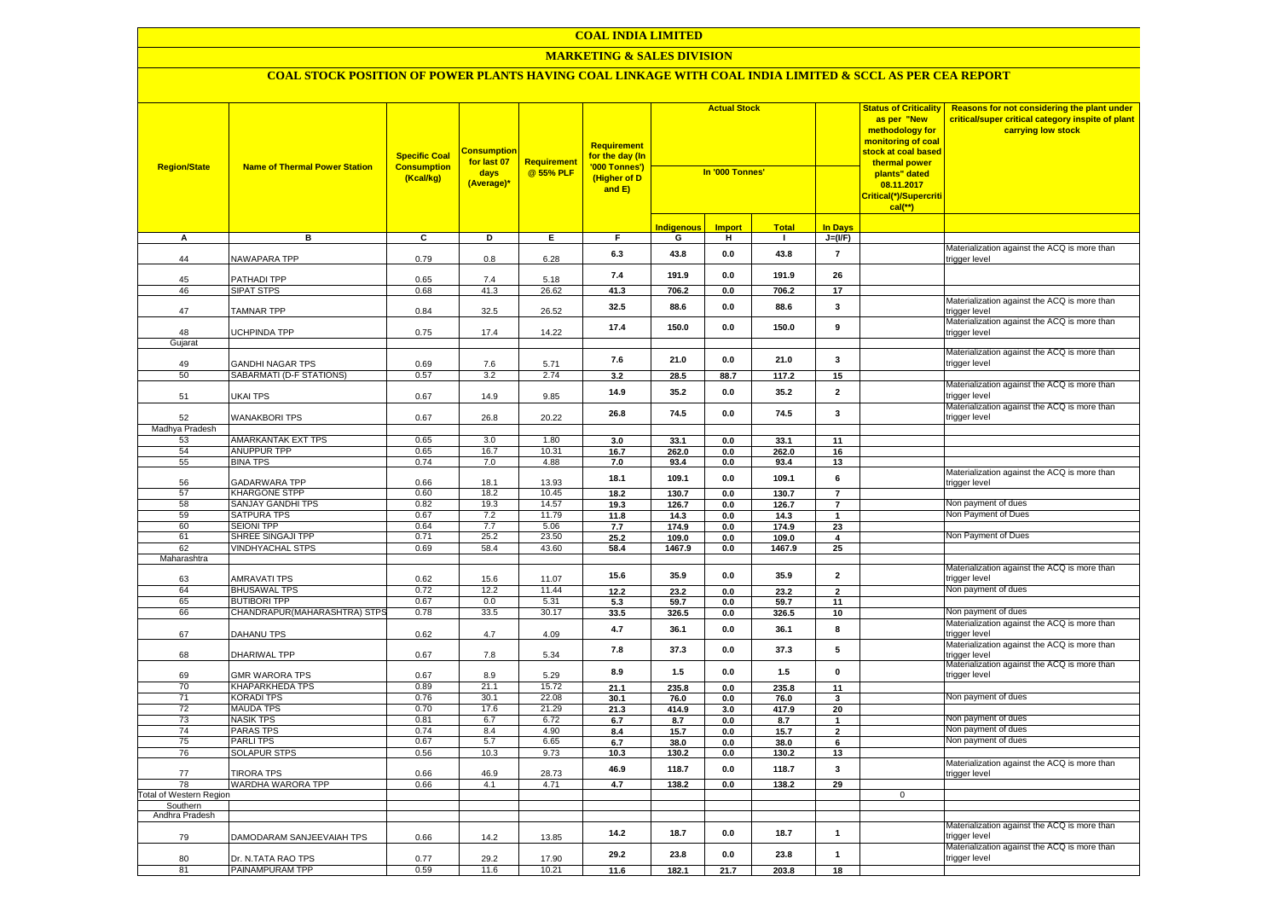# **MARKETING & SALES DIVISION**

| <b>Region/State</b>                 | <b>Name of Thermal Power Station</b>                | <b>Specific Coal</b><br><b>Consumption</b><br>(Kcal/kg) | <mark>Consumption</mark><br>for last 07<br>days<br>(Average)* | <b>Requirement</b><br>@ 55% PLF | <b>Requirement</b><br>for the day (In<br>'000 Tonnes')<br>(Higher of D<br>and E) | <b>Actual Stock</b><br>In '000 Tonnes' |                |               | <b>Status of Criticality</b><br>as per "New<br>methodology for<br>monitoring of coal<br>stock at coal based<br>thermal power<br>plants" dated<br>08.11.2017<br>Critical(*)/Supercriti<br>$cal$ <sup>**</sup> ) | Reasons for not considering the plant under<br>critical/super critical category inspite of plant<br>carrying low stock |                                                               |
|-------------------------------------|-----------------------------------------------------|---------------------------------------------------------|---------------------------------------------------------------|---------------------------------|----------------------------------------------------------------------------------|----------------------------------------|----------------|---------------|----------------------------------------------------------------------------------------------------------------------------------------------------------------------------------------------------------------|------------------------------------------------------------------------------------------------------------------------|---------------------------------------------------------------|
|                                     |                                                     |                                                         |                                                               |                                 |                                                                                  | <b>Indigenous</b>                      | <b>Import</b>  | <b>Total</b>  | <b>In Davs</b>                                                                                                                                                                                                 |                                                                                                                        |                                                               |
| Α                                   | в                                                   | C                                                       | D                                                             | Е.                              | F.                                                                               | G                                      | н.             | $\mathbf{L}$  | $J=(I/F)$                                                                                                                                                                                                      |                                                                                                                        |                                                               |
| 44                                  | NAWAPARA TPP                                        | 0.79                                                    | 0.8                                                           | 6.28                            | 6.3                                                                              | 43.8                                   | 0.0            | 43.8          | $\overline{\mathbf{r}}$                                                                                                                                                                                        |                                                                                                                        | Materialization against the ACQ is more than<br>trigger level |
| 45                                  | PATHADI TPP                                         | 0.65                                                    | 7.4                                                           | 5.18                            | 7.4                                                                              | 191.9                                  | 0.0            | 191.9         | 26                                                                                                                                                                                                             |                                                                                                                        |                                                               |
| 46                                  | <b>SIPAT STPS</b>                                   | 0.68                                                    | 41.3                                                          | 26.62                           | 41.3                                                                             | 706.2                                  | 0.0            | 706.2         | 17                                                                                                                                                                                                             |                                                                                                                        |                                                               |
| 47                                  | <b>TAMNAR TPP</b>                                   | 0.84                                                    | 32.5                                                          | 26.52                           | 32.5                                                                             | 88.6                                   | 0.0            | 88.6          | $\mathbf{3}$                                                                                                                                                                                                   |                                                                                                                        | Materialization against the ACQ is more than<br>trigger level |
| 48                                  | <b>UCHPINDA TPP</b>                                 | 0.75                                                    | 17.4                                                          | 14.22                           | 17.4                                                                             | 150.0                                  | 0.0            | 150.0         | 9                                                                                                                                                                                                              |                                                                                                                        | Materialization against the ACQ is more than<br>trigger level |
| Gujarat                             |                                                     |                                                         |                                                               |                                 |                                                                                  |                                        |                |               |                                                                                                                                                                                                                |                                                                                                                        |                                                               |
| 49                                  | <b>GANDHI NAGAR TPS</b>                             | 0.69                                                    | 7.6                                                           | 5.71                            | 7.6                                                                              | 21.0                                   | 0.0            | 21.0          | 3                                                                                                                                                                                                              |                                                                                                                        | Materialization against the ACQ is more than<br>trigger level |
| 50                                  | SABARMATI (D-F STATIONS)                            | 0.57                                                    | 3.2                                                           | 2.74                            | 3.2                                                                              | 28.5                                   | 88.7           | 117.2         | 15                                                                                                                                                                                                             |                                                                                                                        |                                                               |
| 51                                  | <b>UKAI TPS</b>                                     | 0.67                                                    | 14.9                                                          | 9.85                            | 14.9                                                                             | 35.2                                   | 0.0            | 35.2          | $\mathbf{2}$                                                                                                                                                                                                   |                                                                                                                        | Materialization against the ACQ is more than<br>trigger level |
| 52                                  | <b>WANAKBORI TPS</b>                                | 0.67                                                    | 26.8                                                          | 20.22                           | 26.8                                                                             | 74.5                                   | 0.0            | 74.5          | 3                                                                                                                                                                                                              |                                                                                                                        | Materialization against the ACQ is more than<br>trigger level |
| Madhya Pradesh                      |                                                     |                                                         |                                                               |                                 |                                                                                  |                                        |                |               |                                                                                                                                                                                                                |                                                                                                                        |                                                               |
| 53<br>54                            | AMARKANTAK EXT TPS<br>ANUPPUR TPP                   | 0.65<br>0.65                                            | 3.0<br>16.7                                                   | 1.80<br>10.31                   | 3.0<br>16.7                                                                      | 33.1<br>262.0                          | 0.0<br>0.0     | 33.1<br>262.0 | 11<br>16                                                                                                                                                                                                       |                                                                                                                        |                                                               |
| 55                                  | <b>BINA TPS</b>                                     | 0.74                                                    | 7.0                                                           | 4.88                            | 7.0                                                                              | 93.4                                   | 0.0            | 93.4          | 13                                                                                                                                                                                                             |                                                                                                                        |                                                               |
| 56                                  | <b>GADARWARA TPP</b>                                | 0.66                                                    | 18.1                                                          | 13.93                           | 18.1                                                                             | 109.1                                  | 0.0            | 109.1         | 6                                                                                                                                                                                                              |                                                                                                                        | Materialization against the ACQ is more than<br>trigger level |
| 57                                  | <b>KHARGONE STPP</b>                                | 0.60                                                    | 18.2                                                          | 10.45                           | 18.2                                                                             | 130.7                                  | $\mathbf{0.0}$ | 130.7         | $\overline{7}$                                                                                                                                                                                                 |                                                                                                                        |                                                               |
| 58                                  | <b>SANJAY GANDHI TPS</b>                            | 0.82                                                    | 19.3                                                          | 14.57                           | 19.3                                                                             | 126.7                                  | 0.0            | 126.7         | $\overline{7}$                                                                                                                                                                                                 |                                                                                                                        | Non payment of dues<br>Non Payment of Dues                    |
| 59<br>60                            | <b>SATPURA TPS</b><br><b>SEIONI TPP</b>             | 0.67<br>0.64                                            | 7.2<br>7.7                                                    | 11.79<br>5.06                   | 11.8<br>7.7                                                                      | 14.3<br>174.9                          | 0.0<br>0.0     | 14.3<br>174.9 | $\mathbf{1}$<br>23                                                                                                                                                                                             |                                                                                                                        |                                                               |
| 61                                  | SHREE SINGAJI TPP                                   | 0.71                                                    | 25.2                                                          | 23.50                           | 25.2                                                                             | 109.0                                  | 0.0            | 109.0         | $\overline{\mathbf{4}}$                                                                                                                                                                                        |                                                                                                                        | Non Payment of Dues                                           |
| 62                                  | <b>VINDHYACHAL STPS</b>                             | 0.69                                                    | 58.4                                                          | 43.60                           | 58.4                                                                             | 1467.9                                 | 0.0            | 1467.9        | 25                                                                                                                                                                                                             |                                                                                                                        |                                                               |
| Maharashtra                         |                                                     |                                                         |                                                               |                                 |                                                                                  |                                        |                |               |                                                                                                                                                                                                                |                                                                                                                        |                                                               |
| 63                                  | <b>AMRAVATI TPS</b>                                 | 0.62                                                    | 15.6                                                          | 11.07                           | 15.6                                                                             | 35.9                                   | 0.0            | 35.9          | $\mathbf{2}$                                                                                                                                                                                                   |                                                                                                                        | Materialization against the ACQ is more than<br>trigger level |
| 64                                  | <b>BHUSAWAL TPS</b>                                 | 0.72                                                    | 12.2                                                          | 11.44                           | 12.2                                                                             | 23.2                                   | 0.0            | 23.2          | $\overline{2}$                                                                                                                                                                                                 |                                                                                                                        | Non payment of dues                                           |
| 65                                  | <b>BUTIBORI TPP</b><br>CHANDRAPUR(MAHARASHTRA) STPS | 0.67<br>0.78                                            | 0.0<br>33.5                                                   | 5.31<br>30.17                   | 5.3                                                                              | 59.7                                   | 0.0            | 59.7          | 11                                                                                                                                                                                                             |                                                                                                                        | Non payment of dues                                           |
| 66                                  |                                                     |                                                         |                                                               |                                 | 33.5                                                                             | 326.5                                  | 0.0            | 326.5         | 10                                                                                                                                                                                                             |                                                                                                                        | Materialization against the ACQ is more than                  |
| 67                                  | DAHANU TPS                                          | 0.62                                                    | 4.7                                                           | 4.09                            | 4.7                                                                              | 36.1                                   | 0.0            | 36.1          | 8                                                                                                                                                                                                              |                                                                                                                        | trigger level<br>Materialization against the ACQ is more than |
| 68                                  | <b>DHARIWAL TPP</b>                                 | 0.67                                                    | 7.8                                                           | 5.34                            | 7.8                                                                              | 37.3                                   | 0.0            | 37.3          | 5                                                                                                                                                                                                              |                                                                                                                        | trigger level<br>Materialization against the ACQ is more than |
| 69                                  | <b>GMR WARORA TPS</b>                               | 0.67                                                    | 8.9                                                           | 5.29                            | 8.9                                                                              | $1.5$                                  | 0.0            | 1.5           | $\pmb{0}$                                                                                                                                                                                                      |                                                                                                                        | trigger level                                                 |
| 70<br>71                            | <b>KHAPARKHEDA TPS</b><br><b>KORADI TPS</b>         | 0.89<br>0.76                                            | 21.1<br>30.1                                                  | 15.72<br>22.08                  | 21.1                                                                             | 235.8                                  | 0.0            | 235.8         | 11                                                                                                                                                                                                             |                                                                                                                        | Non payment of dues                                           |
| 72                                  | <b>MAUDA TPS</b>                                    | 0.70                                                    | 17.6                                                          | 21.29                           | 30.1<br>21.3                                                                     | 76.0<br>414.9                          | 0.0<br>3.0     | 76.0<br>417.9 | 3<br>20                                                                                                                                                                                                        |                                                                                                                        |                                                               |
| 73                                  | <b>NASIK TPS</b>                                    | 0.81                                                    | 6.7                                                           | 6.72                            | 6.7                                                                              | 8.7                                    | 0.0            | 8.7           | $\mathbf{1}$                                                                                                                                                                                                   |                                                                                                                        | Non payment of dues                                           |
| 74                                  | <b>PARAS TPS</b>                                    | 0.74                                                    | 8.4                                                           | 4.90                            | 8.4                                                                              | 15.7                                   | 0.0            | 15.7          | $\mathbf{2}$                                                                                                                                                                                                   |                                                                                                                        | Non payment of dues                                           |
| 75                                  | <b>PARLITPS</b>                                     | 0.67                                                    | 5.7                                                           | 6.65                            | 6.7                                                                              | 38.0                                   | 0.0            | 38.0          | 6                                                                                                                                                                                                              |                                                                                                                        | Non payment of dues                                           |
| 76                                  | SOLAPUR STPS                                        | 0.56                                                    | 10.3                                                          | 9.73                            | 10.3                                                                             | 130.2                                  | 0.0            | 130.2         | 13                                                                                                                                                                                                             |                                                                                                                        |                                                               |
| 77                                  | <b>TIRORA TPS</b>                                   | 0.66                                                    | 46.9                                                          | 28.73                           | 46.9                                                                             | 118.7                                  | 0.0            | 118.7         | 3                                                                                                                                                                                                              |                                                                                                                        | Materialization against the ACQ is more than<br>trigger level |
| 78                                  | WARDHA WARORA TPP                                   | 0.66                                                    | 4.1                                                           | 4.71                            | 4.7                                                                              | 138.2                                  | 0.0            | 138.2         | 29                                                                                                                                                                                                             | $\mathbf{0}$                                                                                                           |                                                               |
| Total of Western Region<br>Southern |                                                     |                                                         |                                                               |                                 |                                                                                  |                                        |                |               |                                                                                                                                                                                                                |                                                                                                                        |                                                               |
| Andhra Pradesh                      |                                                     |                                                         |                                                               |                                 |                                                                                  |                                        |                |               |                                                                                                                                                                                                                |                                                                                                                        |                                                               |
| 79                                  | DAMODARAM SANJEEVAIAH TPS                           | 0.66                                                    | 14.2                                                          | 13.85                           | 14.2                                                                             | 18.7                                   | 0.0            | 18.7          | $\mathbf{1}$                                                                                                                                                                                                   |                                                                                                                        | Materialization against the ACQ is more than<br>trigger level |
| 80                                  | Dr. N.TATA RAO TPS                                  | 0.77                                                    | 29.2                                                          | 17.90                           | 29.2                                                                             | 23.8                                   | 0.0            | 23.8          | $\mathbf{1}$                                                                                                                                                                                                   |                                                                                                                        | Materialization against the ACQ is more than<br>trigger level |
| 81                                  | PAINAMPURAM TPP                                     | 0.59                                                    | 11.6                                                          | 10.21                           | 11.6                                                                             | 182.1                                  | 21.7           | 203.8         | 18                                                                                                                                                                                                             |                                                                                                                        |                                                               |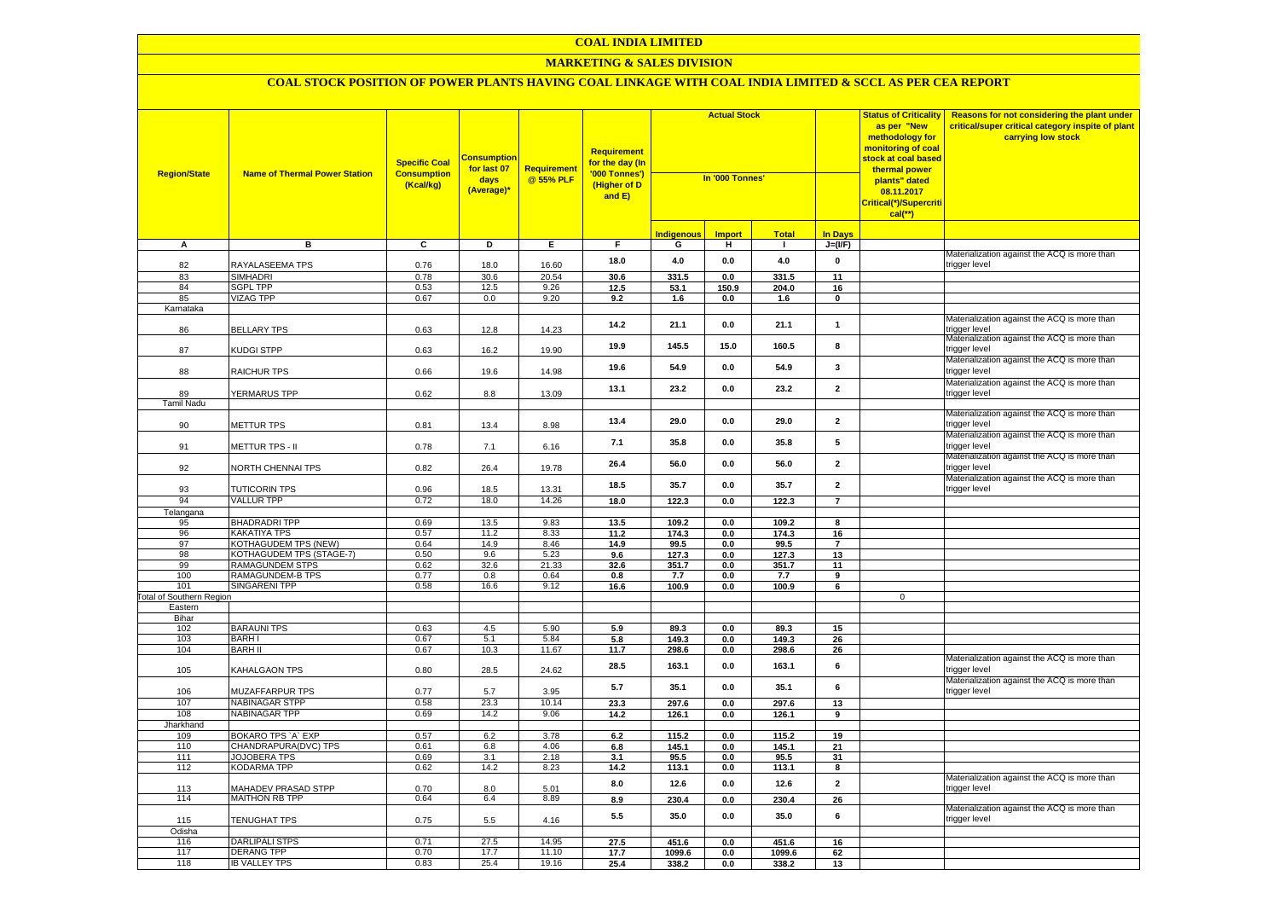# **MARKETING & SALES DIVISION**

| <b>Region/State</b>             | <b>Name of Thermal Power Station</b>                      | <b>Specific Coal</b><br><b>Consumption</b><br>(Kcal/kg) | <mark>Consumption</mark><br>for last 07<br>days<br>(Average)* | <b>Requirement</b><br>@ 55% PLF | Requirement<br>for the day (In<br>'000 Tonnes')<br>(Higher of D<br>and E) | <b>Actual Stock</b><br>In '000 Tonnes' |               |                 |                     | <b>Status of Criticality</b><br>as per "New<br>methodology for<br>monitoring of coal<br><mark>stock at coal based</mark><br>thermal power<br>plants" dated<br>08.11.2017<br>Critical(*)/Supercriti<br>$cal$ (**) | <b>Reasons for not considering the plant under</b><br>critical/super critical category inspite of plant<br>carrying low stock |
|---------------------------------|-----------------------------------------------------------|---------------------------------------------------------|---------------------------------------------------------------|---------------------------------|---------------------------------------------------------------------------|----------------------------------------|---------------|-----------------|---------------------|------------------------------------------------------------------------------------------------------------------------------------------------------------------------------------------------------------------|-------------------------------------------------------------------------------------------------------------------------------|
|                                 |                                                           |                                                         |                                                               |                                 |                                                                           | I <mark>ndigenous</mark>               | <b>Import</b> | <b>Total</b>    | <b>In Days</b>      |                                                                                                                                                                                                                  |                                                                                                                               |
| A                               | в                                                         | $\overline{c}$                                          | Þ                                                             | E                               | F.                                                                        | G                                      | н.            | $\mathbf{L}$    | $J=(I/F)$           |                                                                                                                                                                                                                  |                                                                                                                               |
| 82                              | RAYALASEEMA TPS                                           | 0.76                                                    | 18.0                                                          | 16.60                           | 18.0                                                                      | $4.0$                                  | 0.0           | $4.0$           | $\pmb{0}$           |                                                                                                                                                                                                                  | Materialization against the ACQ is more than<br>trigger level                                                                 |
| 83                              | <b>SIMHADRI</b>                                           | 0.78                                                    | 30.6                                                          | 20.54                           | 30.6                                                                      | 331.5                                  | 0.0           | 331.5           | 11                  |                                                                                                                                                                                                                  |                                                                                                                               |
| 84                              | <b>SGPL TPP</b>                                           | 0.53                                                    | 12.5                                                          | 9.26                            | 12.5                                                                      | 53.1                                   | 150.9         | 204.0           | 16                  |                                                                                                                                                                                                                  |                                                                                                                               |
| 85                              | <b>VIZAG TPP</b>                                          | 0.67                                                    | 0.0                                                           | 9.20                            | 9.2                                                                       | 1.6                                    | 0.0           | 1.6             | $\mathbf 0$         |                                                                                                                                                                                                                  |                                                                                                                               |
| Karnataka                       |                                                           |                                                         |                                                               |                                 |                                                                           |                                        |               |                 |                     |                                                                                                                                                                                                                  |                                                                                                                               |
| 86                              | <b>BELLARY TPS</b>                                        | 0.63                                                    | 12.8                                                          | 14.23                           | 14.2                                                                      | 21.1                                   | 0.0           | 21.1            | $\mathbf{1}$        |                                                                                                                                                                                                                  | Materialization against the ACQ is more than<br>trigger level                                                                 |
| 87                              | KUDGI STPP                                                | 0.63                                                    | 16.2                                                          | 19.90                           | 19.9                                                                      | 145.5                                  | 15.0          | 160.5           | 8                   |                                                                                                                                                                                                                  | Materialization against the ACQ is more than<br>trigger level                                                                 |
| 88                              | RAICHUR TPS                                               | 0.66                                                    | 19.6                                                          | 14.98                           | 19.6                                                                      | 54.9                                   | 0.0           | 54.9            | $\mathbf{3}$        |                                                                                                                                                                                                                  | Materialization against the ACQ is more than<br>trigger level                                                                 |
| 89                              | YERMARUS TPP                                              | 0.62                                                    | 8.8                                                           | 13.09                           | 13.1                                                                      | 23.2                                   | 0.0           | 23.2            | $\overline{2}$      |                                                                                                                                                                                                                  | Materialization against the ACQ is more than<br>trigger level                                                                 |
| <b>Tamil Nadu</b>               |                                                           |                                                         |                                                               |                                 |                                                                           |                                        |               |                 |                     |                                                                                                                                                                                                                  |                                                                                                                               |
| 90                              | <b>METTUR TPS</b>                                         | 0.81                                                    | 13.4                                                          | 8.98                            | 13.4                                                                      | 29.0                                   | 0.0           | 29.0            | $\overline{2}$      |                                                                                                                                                                                                                  | Materialization against the ACQ is more than<br>rigger level                                                                  |
| 91                              | METTUR TPS - II                                           | 0.78                                                    | 7.1                                                           | 6.16                            | 7.1                                                                       | 35.8                                   | 0.0           | 35.8            | $5\phantom{.0}$     |                                                                                                                                                                                                                  | Materialization against the ACQ is more than<br>trigger level                                                                 |
| 92                              | NORTH CHENNAI TPS                                         | 0.82                                                    | 26.4                                                          | 19.78                           | 26.4                                                                      | 56.0                                   | 0.0           | 56.0            | $\overline{2}$      |                                                                                                                                                                                                                  | Materialization against the ACQ is more than<br>trigger level                                                                 |
| 93                              | TUTICORIN TPS                                             | 0.96                                                    | 18.5                                                          | 13.31                           | 18.5                                                                      | 35.7                                   | 0.0           | 35.7            | $\overline{2}$      |                                                                                                                                                                                                                  | Materialization against the ACQ is more than<br>trigger level                                                                 |
| 94                              | <b>VALLUR TPP</b>                                         | 0.72                                                    | 18.0                                                          | 14.26                           | 18.0                                                                      | 122.3                                  | 0.0           | 122.3           | $\overline{7}$      |                                                                                                                                                                                                                  |                                                                                                                               |
| Telangana                       |                                                           |                                                         |                                                               |                                 |                                                                           |                                        |               |                 |                     |                                                                                                                                                                                                                  |                                                                                                                               |
| 95                              | <b>BHADRADRI TPP</b>                                      | 0.69                                                    | 13.5                                                          | 9.83                            | 13.5                                                                      | 109.2                                  | 0.0           | 109.2           | 8                   |                                                                                                                                                                                                                  |                                                                                                                               |
| 96                              | <b>KAKATIYA TPS</b>                                       | 0.57                                                    | 11.2                                                          | 8.33                            | 11.2                                                                      | 174.3                                  | 0.0           | 174.3           | 16                  |                                                                                                                                                                                                                  |                                                                                                                               |
| 97                              | KOTHAGUDEM TPS (NEW)                                      | 0.64                                                    | 14.9                                                          | 8.46                            | 14.9                                                                      | 99.5                                   | 0.0<br>0.0    | 99.5            | $\overline{7}$      |                                                                                                                                                                                                                  |                                                                                                                               |
| 98<br>99                        | <b>KOTHAGUDEM TPS (STAGE-7)</b><br><b>RAMAGUNDEM STPS</b> | 0.50<br>0.62                                            | 9.6<br>32.6                                                   | 5.23<br>21.33                   | 9.6<br>32.6                                                               | 127.3                                  |               | 127.3<br>351.7  | 13                  |                                                                                                                                                                                                                  |                                                                                                                               |
|                                 | <b>RAMAGUNDEM-B TPS</b>                                   |                                                         |                                                               |                                 | 0.8                                                                       | 351.7                                  | 0.0           |                 | 11                  |                                                                                                                                                                                                                  |                                                                                                                               |
| 100<br>101                      | <b>SINGARENI TPP</b>                                      | 0.77<br>0.58                                            | 0.8<br>16.6                                                   | 0.64<br>9.12                    | 16.6                                                                      | 7.7<br>100.9                           | 0.0<br>0.0    | 7.7<br>100.9    | 9<br>6              |                                                                                                                                                                                                                  |                                                                                                                               |
| <b>Total of Southern Region</b> |                                                           |                                                         |                                                               |                                 |                                                                           |                                        |               |                 |                     | $\mathbf 0$                                                                                                                                                                                                      |                                                                                                                               |
| Eastern                         |                                                           |                                                         |                                                               |                                 |                                                                           |                                        |               |                 |                     |                                                                                                                                                                                                                  |                                                                                                                               |
| Bihar                           |                                                           |                                                         |                                                               |                                 |                                                                           |                                        |               |                 |                     |                                                                                                                                                                                                                  |                                                                                                                               |
| 102                             | <b>BARAUNI TPS</b>                                        | 0.63                                                    | 4.5                                                           | 5.90                            | 5.9                                                                       | 89.3                                   | 0.0           | 89.3            | 15                  |                                                                                                                                                                                                                  |                                                                                                                               |
| 103                             | <b>BARHI</b>                                              | 0.67                                                    | 5.1                                                           | 5.84                            | 5.8                                                                       | 149.3                                  | 0.0           | 149.3           | 26                  |                                                                                                                                                                                                                  |                                                                                                                               |
| 104                             | <b>BARH II</b>                                            | 0.67                                                    | 10.3                                                          | 11.67                           | 11.7                                                                      | 298.6                                  | 0.0           | 298.6           | 26                  |                                                                                                                                                                                                                  |                                                                                                                               |
| 105                             | <b>KAHALGAON TPS</b>                                      | 0.80                                                    | 28.5                                                          | 24.62                           | 28.5                                                                      | 163.1                                  | 0.0           | 163.1           | 6                   |                                                                                                                                                                                                                  | Materialization against the ACQ is more than<br>trigger level                                                                 |
| 106                             | MUZAFFARPUR TPS                                           | 0.77                                                    | 5.7                                                           | 3.95                            | 5.7                                                                       | 35.1                                   | 0.0           | 35.1            | 6                   |                                                                                                                                                                                                                  | Materialization against the ACQ is more than<br>trigger level                                                                 |
| 107                             | <b>NABINAGAR STPP</b>                                     | 0.58                                                    | 23.3                                                          | 10.14                           | 23.3                                                                      | 297.6                                  | 0.0           | 297.6           | 13                  |                                                                                                                                                                                                                  |                                                                                                                               |
| 108                             | <b>NABINAGAR TPP</b>                                      | 0.69                                                    | 14.2                                                          | 9.06                            | 14.2                                                                      | 126.1                                  | 0.0           | 126.1           | 9                   |                                                                                                                                                                                                                  |                                                                                                                               |
| Jharkhand                       |                                                           |                                                         |                                                               |                                 |                                                                           |                                        |               |                 |                     |                                                                                                                                                                                                                  |                                                                                                                               |
| 109                             | BOKARO TPS 'A' EXP                                        | 0.57                                                    | 6.2                                                           | 3.78                            | 6.2                                                                       | 115.2                                  | 0.0           | 115.2           | 19                  |                                                                                                                                                                                                                  |                                                                                                                               |
| 110                             | CHANDRAPURA(DVC) TPS                                      | 0.61                                                    | 6.8                                                           | 4.06                            | 6.8                                                                       | 145.1                                  | 0.0           | 145.1           | 21                  |                                                                                                                                                                                                                  |                                                                                                                               |
| 111                             | JOJOBERA TPS                                              | 0.69                                                    | 3.1                                                           | 2.18                            | 3.1                                                                       | 95.5                                   | 0.0           | 95.5            | 31                  |                                                                                                                                                                                                                  |                                                                                                                               |
| 112                             | <b>KODARMA TPP</b>                                        | 0.62                                                    | 14.2                                                          | 8.23                            | 14.2<br>8.0                                                               | 113.1<br>12.6                          | 0.0<br>0.0    | 113.1<br>12.6   | 8<br>$\overline{2}$ |                                                                                                                                                                                                                  | Materialization against the ACQ is more than                                                                                  |
| 113                             | <b>JAHADEV PRASAD STPP</b>                                | 0.70                                                    | 8.0                                                           | 5.01                            |                                                                           |                                        |               |                 |                     |                                                                                                                                                                                                                  | rigger level                                                                                                                  |
| 114                             | <b>MAITHON RB TPP</b>                                     | 0.64                                                    | 6.4                                                           | 8.89                            | 8.9                                                                       | 230.4                                  | 0.0           | 230.4           | 26                  |                                                                                                                                                                                                                  |                                                                                                                               |
| 115                             | TENUGHAT TPS                                              | 0.75                                                    | 5.5                                                           | 4.16                            | 5.5                                                                       | 35.0                                   | 0.0           | 35.0            | 6                   |                                                                                                                                                                                                                  | Materialization against the ACQ is more than<br>trigger level                                                                 |
| Odisha                          |                                                           |                                                         |                                                               |                                 |                                                                           |                                        |               |                 |                     |                                                                                                                                                                                                                  |                                                                                                                               |
| 116<br>117                      | <b>DARLIPALI STPS</b><br><b>DERANG TPP</b>                | 0.71<br>0.70                                            | 27.5<br>17.7                                                  | 14.95<br>11.10                  | 27.5                                                                      | 451.6                                  | 0.0           | 451.6           | 16                  |                                                                                                                                                                                                                  |                                                                                                                               |
| 118                             | <b>IB VALLEY TPS</b>                                      | 0.83                                                    | 25.4                                                          | 19.16                           | 17.7                                                                      | 1099.6<br>338.2                        | 0.0<br>0.0    | 1099.6<br>338.2 | 62<br>13            |                                                                                                                                                                                                                  |                                                                                                                               |
|                                 |                                                           |                                                         |                                                               |                                 | 25.4                                                                      |                                        |               |                 |                     |                                                                                                                                                                                                                  |                                                                                                                               |